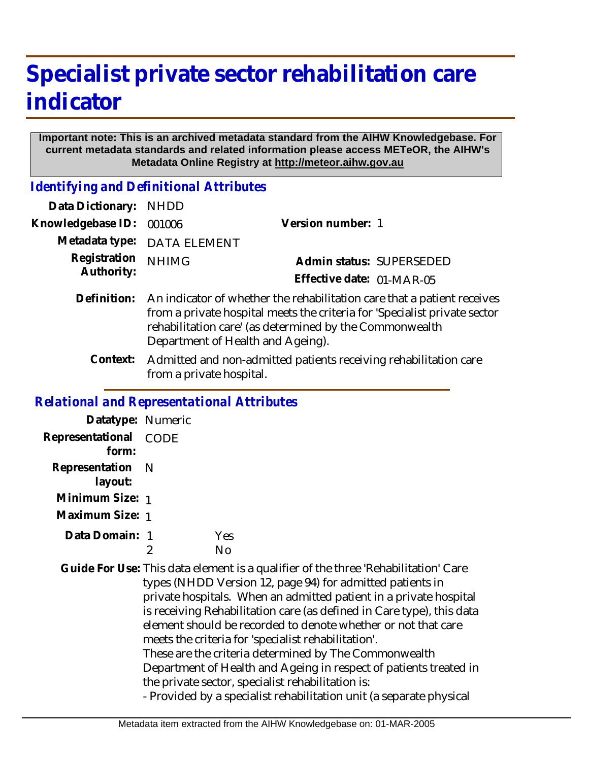## **Specialist private sector rehabilitation care indicator**

## **Important note: This is an archived metadata standard from the AIHW Knowledgebase. For current metadata standards and related information please access METeOR, the AIHW's Metadata Online Registry at http://meteor.aihw.gov.au**

*Identifying and Definitional Attributes*

| Data Dictionary:                                  | <b>NHDD</b>              |                                                                                                                                                                                                                                                      |
|---------------------------------------------------|--------------------------|------------------------------------------------------------------------------------------------------------------------------------------------------------------------------------------------------------------------------------------------------|
| Knowledgebase ID:                                 | 001006                   | Version number: 1                                                                                                                                                                                                                                    |
| Metadata type:                                    | <b>DATA ELEMENT</b>      |                                                                                                                                                                                                                                                      |
| Registration<br>Authority:                        | <b>NHIMG</b>             | Admin status: SUPERSEDED                                                                                                                                                                                                                             |
|                                                   |                          | Effective date: 01-MAR-05                                                                                                                                                                                                                            |
| Definition:                                       |                          | An indicator of whether the rehabilitation care that a patient receives<br>from a private hospital meets the criteria for 'Specialist private sector<br>rehabilitation care' (as determined by the Commonwealth<br>Department of Health and Ageing). |
| Context:                                          | from a private hospital. | Admitted and non-admitted patients receiving rehabilitation care                                                                                                                                                                                     |
| <b>Relational and Representational Attributes</b> |                          |                                                                                                                                                                                                                                                      |
| Datatype: Numeric                                 |                          |                                                                                                                                                                                                                                                      |
| Representational<br>form:                         | <b>CODE</b>              |                                                                                                                                                                                                                                                      |
| Representation<br>layout:                         | -N                       |                                                                                                                                                                                                                                                      |
| Minimum Size: 1                                   |                          |                                                                                                                                                                                                                                                      |
| Maximum Size: 1                                   |                          |                                                                                                                                                                                                                                                      |
| Data Domain: 1                                    | $\overline{2}$           | Yes<br><b>No</b>                                                                                                                                                                                                                                     |
|                                                   |                          | Guide For Use: This data element is a qualifier of the three 'Rehabilitation' Care                                                                                                                                                                   |

data element is a qualifier of the three 'Rehabilitation' Care types (NHDD Version 12, page 94) for admitted patients in private hospitals. When an admitted patient in a private hospital is receiving Rehabilitation care (as defined in Care type), this data element should be recorded to denote whether or not that care meets the criteria for 'specialist rehabilitation'. These are the criteria determined by The Commonwealth Department of Health and Ageing in respect of patients treated in the private sector, specialist rehabilitation is: - Provided by a specialist rehabilitation unit (a separate physical **Guide For Use:**